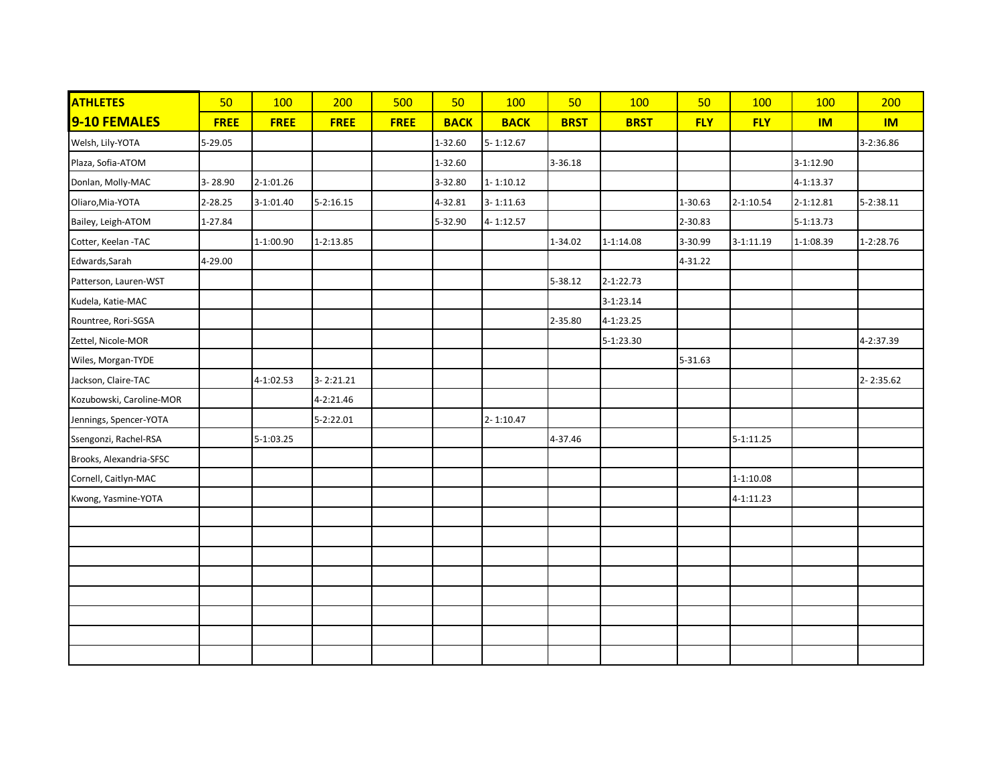| <b>ATHLETES</b>          | 50          | 100         | 200           | 500         | 50          | 100           | 50          | 100           | 50         | 100           | 100       | 200       |
|--------------------------|-------------|-------------|---------------|-------------|-------------|---------------|-------------|---------------|------------|---------------|-----------|-----------|
| 9-10 FEMALES             | <b>FREE</b> | <b>FREE</b> | <b>FREE</b>   | <b>FREE</b> | <b>BACK</b> | <b>BACK</b>   | <b>BRST</b> | <b>BRST</b>   | <b>FLY</b> | <b>FLY</b>    | <b>IM</b> | <b>IM</b> |
| Welsh, Lily-YOTA         | 5-29.05     |             |               |             | 1-32.60     | $5 - 1:12.67$ |             |               |            |               |           | 3-2:36.86 |
| Plaza, Sofia-ATOM        |             |             |               |             | 1-32.60     |               | 3-36.18     |               |            |               | 3-1:12.90 |           |
| Donlan, Molly-MAC        | 3-28.90     | 2-1:01.26   |               |             | 3-32.80     | $1 - 1:10.12$ |             |               |            |               | 4-1:13.37 |           |
| Oliaro, Mia-YOTA         | 2-28.25     | $3-1:01.40$ | $5 - 2:16.15$ |             | 4-32.81     | $3 - 1:11.63$ |             |               | 1-30.63    | $2 - 1:10.54$ | 2-1:12.81 | 5-2:38.11 |
| Bailey, Leigh-ATOM       | 1-27.84     |             |               |             | 5-32.90     | 4-1:12.57     |             |               | 2-30.83    |               | 5-1:13.73 |           |
| Cotter, Keelan -TAC      |             | 1-1:00.90   | $1 - 2:13.85$ |             |             |               | 1-34.02     | $1 - 1:14.08$ | 3-30.99    | $3-1:11.19$   | 1-1:08.39 | 1-2:28.76 |
| Edwards, Sarah           | 4-29.00     |             |               |             |             |               |             |               | 4-31.22    |               |           |           |
| Patterson, Lauren-WST    |             |             |               |             |             |               | 5-38.12     | 2-1:22.73     |            |               |           |           |
| Kudela, Katie-MAC        |             |             |               |             |             |               |             | 3-1:23.14     |            |               |           |           |
| Rountree, Rori-SGSA      |             |             |               |             |             |               | 2-35.80     | 4-1:23.25     |            |               |           |           |
| Zettel, Nicole-MOR       |             |             |               |             |             |               |             | 5-1:23.30     |            |               |           | 4-2:37.39 |
| Wiles, Morgan-TYDE       |             |             |               |             |             |               |             |               | 5-31.63    |               |           |           |
| Jackson, Claire-TAC      |             | 4-1:02.53   | $3 - 2:21.21$ |             |             |               |             |               |            |               |           | 2-2:35.62 |
| Kozubowski, Caroline-MOR |             |             | 4-2:21.46     |             |             |               |             |               |            |               |           |           |
| Jennings, Spencer-YOTA   |             |             | 5-2:22.01     |             |             | $2 - 1:10.47$ |             |               |            |               |           |           |
| Ssengonzi, Rachel-RSA    |             | 5-1:03.25   |               |             |             |               | 4-37.46     |               |            | $5-1:11.25$   |           |           |
| Brooks, Alexandria-SFSC  |             |             |               |             |             |               |             |               |            |               |           |           |
| Cornell, Caitlyn-MAC     |             |             |               |             |             |               |             |               |            | $1 - 1:10.08$ |           |           |
| Kwong, Yasmine-YOTA      |             |             |               |             |             |               |             |               |            | 4-1:11.23     |           |           |
|                          |             |             |               |             |             |               |             |               |            |               |           |           |
|                          |             |             |               |             |             |               |             |               |            |               |           |           |
|                          |             |             |               |             |             |               |             |               |            |               |           |           |
|                          |             |             |               |             |             |               |             |               |            |               |           |           |
|                          |             |             |               |             |             |               |             |               |            |               |           |           |
|                          |             |             |               |             |             |               |             |               |            |               |           |           |
|                          |             |             |               |             |             |               |             |               |            |               |           |           |
|                          |             |             |               |             |             |               |             |               |            |               |           |           |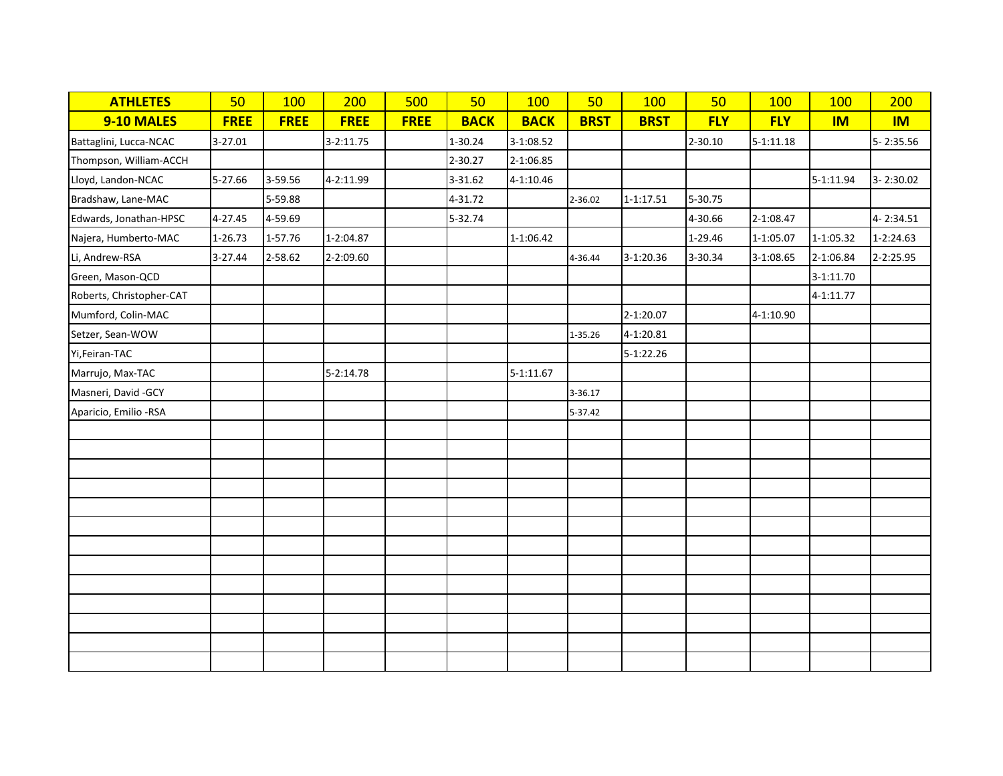| <b>ATHLETES</b>          | 50          | 100         | 200         | 500         | 50          | 100         | 50          | 100           | 50          | 100           | 100       | 200       |
|--------------------------|-------------|-------------|-------------|-------------|-------------|-------------|-------------|---------------|-------------|---------------|-----------|-----------|
| 9-10 MALES               | <b>FREE</b> | <b>FREE</b> | <b>FREE</b> | <b>FREE</b> | <b>BACK</b> | <b>BACK</b> | <b>BRST</b> | <b>BRST</b>   | <b>FLY</b>  | <b>FLY</b>    | <b>IM</b> | <b>IM</b> |
| Battaglini, Lucca-NCAC   | 3-27.01     |             | 3-2:11.75   |             | 1-30.24     | 3-1:08.52   |             |               | $2 - 30.10$ | $5 - 1:11.18$ |           | 5-2:35.56 |
| Thompson, William-ACCH   |             |             |             |             | 2-30.27     | 2-1:06.85   |             |               |             |               |           |           |
| Lloyd, Landon-NCAC       | 5-27.66     | 3-59.56     | 4-2:11.99   |             | 3-31.62     | 4-1:10.46   |             |               |             |               | 5-1:11.94 | 3-2:30.02 |
| Bradshaw, Lane-MAC       |             | 5-59.88     |             |             | 4-31.72     |             | 2-36.02     | $1 - 1:17.51$ | 5-30.75     |               |           |           |
| Edwards, Jonathan-HPSC   | 4-27.45     | 4-59.69     |             |             | 5-32.74     |             |             |               | 4-30.66     | 2-1:08.47     |           | 4-2:34.51 |
| Najera, Humberto-MAC     | 1-26.73     | 1-57.76     | 1-2:04.87   |             |             | 1-1:06.42   |             |               | 1-29.46     | 1-1:05.07     | 1-1:05.32 | 1-2:24.63 |
| Li, Andrew-RSA           | 3-27.44     | 2-58.62     | 2-2:09.60   |             |             |             | 4-36.44     | 3-1:20.36     | 3-30.34     | 3-1:08.65     | 2-1:06.84 | 2-2:25.95 |
| Green, Mason-QCD         |             |             |             |             |             |             |             |               |             |               | 3-1:11.70 |           |
| Roberts, Christopher-CAT |             |             |             |             |             |             |             |               |             |               | 4-1:11.77 |           |
| Mumford, Colin-MAC       |             |             |             |             |             |             |             | 2-1:20.07     |             | 4-1:10.90     |           |           |
| Setzer, Sean-WOW         |             |             |             |             |             |             | 1-35.26     | 4-1:20.81     |             |               |           |           |
| Yi, Feiran-TAC           |             |             |             |             |             |             |             | 5-1:22.26     |             |               |           |           |
| Marrujo, Max-TAC         |             |             | 5-2:14.78   |             |             | 5-1:11.67   |             |               |             |               |           |           |
| Masneri, David -GCY      |             |             |             |             |             |             | 3-36.17     |               |             |               |           |           |
| Aparicio, Emilio -RSA    |             |             |             |             |             |             | 5-37.42     |               |             |               |           |           |
|                          |             |             |             |             |             |             |             |               |             |               |           |           |
|                          |             |             |             |             |             |             |             |               |             |               |           |           |
|                          |             |             |             |             |             |             |             |               |             |               |           |           |
|                          |             |             |             |             |             |             |             |               |             |               |           |           |
|                          |             |             |             |             |             |             |             |               |             |               |           |           |
|                          |             |             |             |             |             |             |             |               |             |               |           |           |
|                          |             |             |             |             |             |             |             |               |             |               |           |           |
|                          |             |             |             |             |             |             |             |               |             |               |           |           |
|                          |             |             |             |             |             |             |             |               |             |               |           |           |
|                          |             |             |             |             |             |             |             |               |             |               |           |           |
|                          |             |             |             |             |             |             |             |               |             |               |           |           |
|                          |             |             |             |             |             |             |             |               |             |               |           |           |
|                          |             |             |             |             |             |             |             |               |             |               |           |           |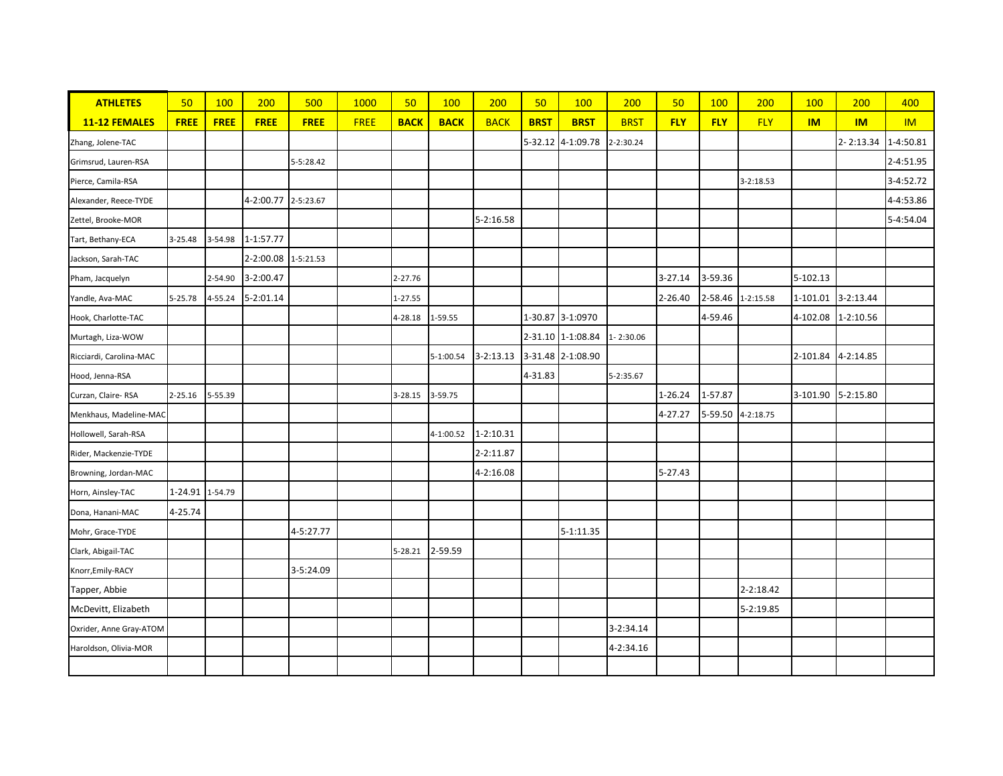| <b>ATHLETES</b>         | 50              | 100         | 200                 | 500         | 1000        | 50          | 100         | 200           | 50          | <b>100</b>        | 200         | 50         | 100        | 200               | 100       | 200         | 400       |
|-------------------------|-----------------|-------------|---------------------|-------------|-------------|-------------|-------------|---------------|-------------|-------------------|-------------|------------|------------|-------------------|-----------|-------------|-----------|
| 11-12 FEMALES           | <b>FREE</b>     | <b>FREE</b> | <b>FREE</b>         | <b>FREE</b> | <b>FREE</b> | <b>BACK</b> | <b>BACK</b> | <b>BACK</b>   | <b>BRST</b> | <b>BRST</b>       | <b>BRST</b> | <b>FLY</b> | <b>FLY</b> | <b>FLY</b>        | <b>IM</b> | <b>IM</b>   | <b>IM</b> |
| Zhang, Jolene-TAC       |                 |             |                     |             |             |             |             |               |             | 5-32.12 4-1:09.78 | 2-2:30.24   |            |            |                   |           | 2-2:13.34   | 1-4:50.81 |
| Grimsrud, Lauren-RSA    |                 |             |                     | 5-5:28.42   |             |             |             |               |             |                   |             |            |            |                   |           |             | 2-4:51.95 |
| Pierce, Camila-RSA      |                 |             |                     |             |             |             |             |               |             |                   |             |            |            | $3 - 2:18.53$     |           |             | 3-4:52.72 |
| Alexander, Reece-TYDE   |                 |             | 4-2:00.77 2-5:23.67 |             |             |             |             |               |             |                   |             |            |            |                   |           |             | 4-4:53.86 |
| Zettel, Brooke-MOR      |                 |             |                     |             |             |             |             | 5-2:16.58     |             |                   |             |            |            |                   |           |             | 5-4:54.04 |
| Tart, Bethany-ECA       | 3-25.48         | 3-54.98     | 1-1:57.77           |             |             |             |             |               |             |                   |             |            |            |                   |           |             |           |
| Jackson, Sarah-TAC      |                 |             | 2-2:00.08 1-5:21.53 |             |             |             |             |               |             |                   |             |            |            |                   |           |             |           |
| Pham, Jacquelyn         |                 | 2-54.90     | 3-2:00.47           |             |             | 2-27.76     |             |               |             |                   |             | 3-27.14    | 3-59.36    |                   | 5-102.13  |             |           |
| Yandle, Ava-MAC         | 5-25.78         | 4-55.24     | $5 - 2:01.14$       |             |             | 1-27.55     |             |               |             |                   |             | 2-26.40    | 2-58.46    | $1 - 2:15.58$     | 1-101.01  | $3-2:13.44$ |           |
| Hook, Charlotte-TAC     |                 |             |                     |             |             | 4-28.18     | 1-59.55     |               |             | 1-30.87 3-1:0970  |             |            | 4-59.46    |                   | 4-102.08  | $1-2:10.56$ |           |
| Murtagh, Liza-WOW       |                 |             |                     |             |             |             |             |               |             | 2-31.10 1-1:08.84 | 1-2:30.06   |            |            |                   |           |             |           |
| Ricciardi, Carolina-MAC |                 |             |                     |             |             |             | 5-1:00.54   | $3 - 2:13.13$ |             | 3-31.48 2-1:08.90 |             |            |            |                   | 2-101.84  | 4-2:14.85   |           |
| Hood, Jenna-RSA         |                 |             |                     |             |             |             |             |               | 4-31.83     |                   | 5-2:35.67   |            |            |                   |           |             |           |
| Curzan, Claire-RSA      | 2-25.16         | 5-55.39     |                     |             |             | 3-28.15     | 3-59.75     |               |             |                   |             | 1-26.24    | 1-57.87    |                   | 3-101.90  | 5-2:15.80   |           |
| Menkhaus, Madeline-MAC  |                 |             |                     |             |             |             |             |               |             |                   |             | 4-27.27    |            | 5-59.50 4-2:18.75 |           |             |           |
| Hollowell, Sarah-RSA    |                 |             |                     |             |             |             | 4-1:00.52   | 1-2:10.31     |             |                   |             |            |            |                   |           |             |           |
| Rider, Mackenzie-TYDE   |                 |             |                     |             |             |             |             | 2-2:11.87     |             |                   |             |            |            |                   |           |             |           |
| Browning, Jordan-MAC    |                 |             |                     |             |             |             |             | 4-2:16.08     |             |                   |             | 5-27.43    |            |                   |           |             |           |
| Horn, Ainsley-TAC       | 1-24.91 1-54.79 |             |                     |             |             |             |             |               |             |                   |             |            |            |                   |           |             |           |
| Dona, Hanani-MAC        | 4-25.74         |             |                     |             |             |             |             |               |             |                   |             |            |            |                   |           |             |           |
| Mohr, Grace-TYDE        |                 |             |                     | 4-5:27.77   |             |             |             |               |             | $5 - 1:11.35$     |             |            |            |                   |           |             |           |
| Clark, Abigail-TAC      |                 |             |                     |             |             | $5 - 28.21$ | 2-59.59     |               |             |                   |             |            |            |                   |           |             |           |
| Knorr, Emily-RACY       |                 |             |                     | 3-5:24.09   |             |             |             |               |             |                   |             |            |            |                   |           |             |           |
| Tapper, Abbie           |                 |             |                     |             |             |             |             |               |             |                   |             |            |            | 2-2:18.42         |           |             |           |
| McDevitt, Elizabeth     |                 |             |                     |             |             |             |             |               |             |                   |             |            |            | 5-2:19.85         |           |             |           |
| Oxrider, Anne Gray-ATOM |                 |             |                     |             |             |             |             |               |             |                   | 3-2:34.14   |            |            |                   |           |             |           |
| Haroldson, Olivia-MOR   |                 |             |                     |             |             |             |             |               |             |                   | 4-2:34.16   |            |            |                   |           |             |           |
|                         |                 |             |                     |             |             |             |             |               |             |                   |             |            |            |                   |           |             |           |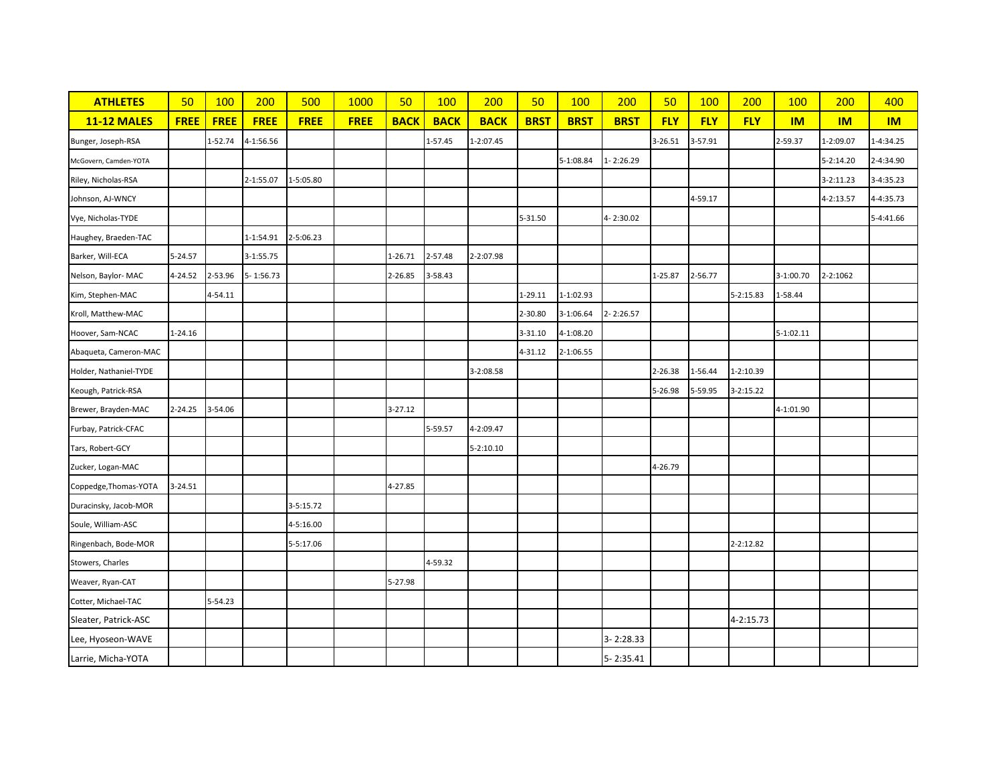| <b>ATHLETES</b>        | 50          | <b>100</b>  | 200         | 500         | 1000        | 50          | 100         | 200           | 50          | 100         | 200         | 50         | 100        | 200           | 100         | 200           | 400       |
|------------------------|-------------|-------------|-------------|-------------|-------------|-------------|-------------|---------------|-------------|-------------|-------------|------------|------------|---------------|-------------|---------------|-----------|
| <b>11-12 MALES</b>     | <b>FREE</b> | <b>FREE</b> | <b>FREE</b> | <b>FREE</b> | <b>FREE</b> | <b>BACK</b> | <b>BACK</b> | <b>BACK</b>   | <b>BRST</b> | <b>BRST</b> | <b>BRST</b> | <b>FLY</b> | <b>FLY</b> | <b>FLY</b>    | IM          | IM            | IM        |
| Bunger, Joseph-RSA     |             | 1-52.74     | 4-1:56.56   |             |             |             | 1-57.45     | 1-2:07.45     |             |             |             | 3-26.51    | 3-57.91    |               | 2-59.37     | 1-2:09.07     | 1-4:34.25 |
| McGovern, Camden-YOTA  |             |             |             |             |             |             |             |               |             | 5-1:08.84   | 1-2:26.29   |            |            |               |             | $5 - 2:14.20$ | 2-4:34.90 |
| Riley, Nicholas-RSA    |             |             | 2-1:55.07   | 1-5:05.80   |             |             |             |               |             |             |             |            |            |               |             | $3 - 2:11.23$ | 3-4:35.23 |
| Johnson, AJ-WNCY       |             |             |             |             |             |             |             |               |             |             |             |            | 4-59.17    |               |             | 4-2:13.57     | 4-4:35.73 |
| Vye, Nicholas-TYDE     |             |             |             |             |             |             |             |               | 5-31.50     |             | 4-2:30.02   |            |            |               |             |               | 5-4:41.66 |
| Haughey, Braeden-TAC   |             |             | 1-1:54.91   | 2-5:06.23   |             |             |             |               |             |             |             |            |            |               |             |               |           |
| Barker, Will-ECA       | 5-24.57     |             | 3-1:55.75   |             |             | 1-26.71     | 2-57.48     | 2-2:07.98     |             |             |             |            |            |               |             |               |           |
| Nelson, Baylor-MAC     | 4-24.52     | 2-53.96     | 5-1:56.73   |             |             | 2-26.85     | 3-58.43     |               |             |             |             | 1-25.87    | 2-56.77    |               | 3-1:00.70   | 2-2:1062      |           |
| Kim, Stephen-MAC       |             | 4-54.11     |             |             |             |             |             |               | 1-29.11     | 1-1:02.93   |             |            |            | 5-2:15.83     | 1-58.44     |               |           |
| Kroll, Matthew-MAC     |             |             |             |             |             |             |             |               | 2-30.80     | 3-1:06.64   | 2-2:26.57   |            |            |               |             |               |           |
| Hoover, Sam-NCAC       | $1 - 24.16$ |             |             |             |             |             |             |               | 3-31.10     | 4-1:08.20   |             |            |            |               | $5-1:02.11$ |               |           |
| Abaqueta, Cameron-MAC  |             |             |             |             |             |             |             |               | 4-31.12     | 2-1:06.55   |             |            |            |               |             |               |           |
| Holder, Nathaniel-TYDE |             |             |             |             |             |             |             | 3-2:08.58     |             |             |             | 2-26.38    | 1-56.44    | $1-2:10.39$   |             |               |           |
| Keough, Patrick-RSA    |             |             |             |             |             |             |             |               |             |             |             | 5-26.98    | 5-59.95    | $3 - 2:15.22$ |             |               |           |
| Brewer, Brayden-MAC    | $2 - 24.25$ | 3-54.06     |             |             |             | $3 - 27.12$ |             |               |             |             |             |            |            |               | 4-1:01.90   |               |           |
| Furbay, Patrick-CFAC   |             |             |             |             |             |             | 5-59.57     | 4-2:09.47     |             |             |             |            |            |               |             |               |           |
| Tars, Robert-GCY       |             |             |             |             |             |             |             | $5 - 2:10.10$ |             |             |             |            |            |               |             |               |           |
| Zucker, Logan-MAC      |             |             |             |             |             |             |             |               |             |             |             | 4-26.79    |            |               |             |               |           |
| Coppedge, Thomas-YOTA  | 3-24.51     |             |             |             |             | 4-27.85     |             |               |             |             |             |            |            |               |             |               |           |
| Duracinsky, Jacob-MOR  |             |             |             | 3-5:15.72   |             |             |             |               |             |             |             |            |            |               |             |               |           |
| Soule, William-ASC     |             |             |             | 4-5:16.00   |             |             |             |               |             |             |             |            |            |               |             |               |           |
| Ringenbach, Bode-MOR   |             |             |             | 5-5:17.06   |             |             |             |               |             |             |             |            |            | 2-2:12.82     |             |               |           |
| Stowers, Charles       |             |             |             |             |             |             | 4-59.32     |               |             |             |             |            |            |               |             |               |           |
| Weaver, Ryan-CAT       |             |             |             |             |             | 5-27.98     |             |               |             |             |             |            |            |               |             |               |           |
| Cotter, Michael-TAC    |             | 5-54.23     |             |             |             |             |             |               |             |             |             |            |            |               |             |               |           |
| Sleater, Patrick-ASC   |             |             |             |             |             |             |             |               |             |             |             |            |            | 4-2:15.73     |             |               |           |
| Lee, Hyoseon-WAVE      |             |             |             |             |             |             |             |               |             |             | 3-2:28.33   |            |            |               |             |               |           |
| Larrie, Micha-YOTA     |             |             |             |             |             |             |             |               |             |             | 5-2:35.41   |            |            |               |             |               |           |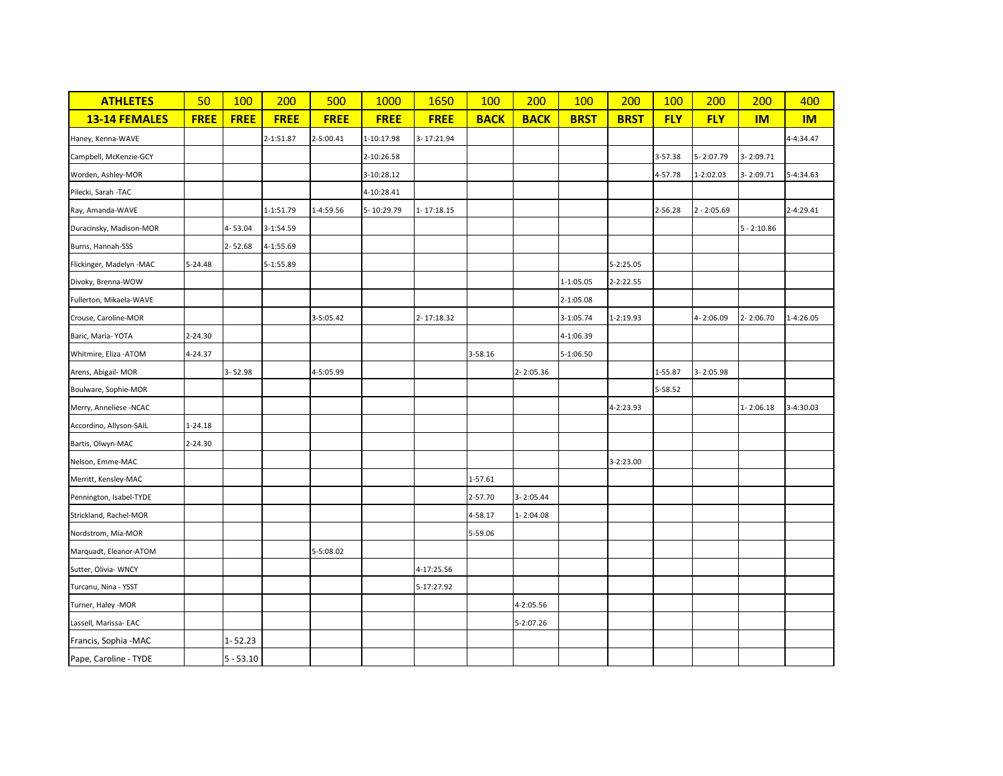| <b>ATHLETES</b>          | 50          | <b>100</b>  | 200         | 500         | 1000        | 1650        | <b>100</b>  | 200         | <b>100</b>  | 200           | <b>100</b> | 200           | 200           | 400       |
|--------------------------|-------------|-------------|-------------|-------------|-------------|-------------|-------------|-------------|-------------|---------------|------------|---------------|---------------|-----------|
| <b>13-14 FEMALES</b>     | <b>FREE</b> | <b>FREE</b> | <b>FREE</b> | <b>FREE</b> | <b>FREE</b> | <b>FREE</b> | <b>BACK</b> | <b>BACK</b> | <b>BRST</b> | <b>BRST</b>   | <b>FLY</b> | <b>FLY</b>    | <b>IM</b>     | <b>IM</b> |
| Haney, Kenna-WAVE        |             |             | 2-1:51.87   | 2-5:00.41   | 1-10:17.98  | 3-17:21.94  |             |             |             |               |            |               |               | 4-4:34.47 |
| Campbell, McKenzie-GCY   |             |             |             |             | 2-10:26.58  |             |             |             |             |               | 3-57.38    | 5-2:07.79     | 3-2:09.71     |           |
| Worden, Ashley-MOR       |             |             |             |             | 3-10:28.12  |             |             |             |             |               | 4-57.78    | 1-2:02.03     | 3-2:09.71     | 5-4:34.63 |
| Pilecki, Sarah -TAC      |             |             |             |             | 4-10:28.41  |             |             |             |             |               |            |               |               |           |
| Ray, Amanda-WAVE         |             |             | 1-1:51.79   | 1-4:59.56   | 5-10:29.79  | 1-17:18.15  |             |             |             |               | 2-56.28    | $2 - 2:05.69$ |               | 2-4:29.41 |
| Duracinsky, Madison-MOR  |             | 4-53.04     | 3-1:54.59   |             |             |             |             |             |             |               |            |               | $5 - 2:10.86$ |           |
| Burns, Hannah-SSS        |             | $2 - 52.68$ | 4-1:55.69   |             |             |             |             |             |             |               |            |               |               |           |
| Flickinger, Madelyn -MAC | 5-24.48     |             | 5-1:55.89   |             |             |             |             |             |             | 5-2:25.05     |            |               |               |           |
| Divoky, Brenna-WOW       |             |             |             |             |             |             |             |             | 1-1:05.05   | $2 - 2:22.55$ |            |               |               |           |
| Fullerton, Mikaela-WAVE  |             |             |             |             |             |             |             |             | 2-1:05.08   |               |            |               |               |           |
| Crouse, Caroline-MOR     |             |             |             | 3-5:05.42   |             | 2-17:18.32  |             |             | 3-1:05.74   | 1-2:19.93     |            | 4-2:06.09     | 2-2:06.70     | 1-4:26.05 |
| Baric, Maria-YOTA        | $2 - 24.30$ |             |             |             |             |             |             |             | 4-1:06.39   |               |            |               |               |           |
| Whitmire, Eliza - ATOM   | 4-24.37     |             |             |             |             |             | 3-58.16     |             | 5-1:06.50   |               |            |               |               |           |
| Arens, Abigail- MOR      |             | 3-52.98     |             | 4-5:05.99   |             |             |             | 2-2:05.36   |             |               | 1-55.87    | $3 - 2:05.98$ |               |           |
| Boulware, Sophie-MOR     |             |             |             |             |             |             |             |             |             |               | 5-58.52    |               |               |           |
| Merry, Anneliese -NCAC   |             |             |             |             |             |             |             |             |             | 4-2:23.93     |            |               | $1 - 2:06.18$ | 3-4:30.03 |
| Accordino, Allyson-SAIL  | 1-24.18     |             |             |             |             |             |             |             |             |               |            |               |               |           |
| Bartis, Olwyn-MAC        | 2-24.30     |             |             |             |             |             |             |             |             |               |            |               |               |           |
| Nelson, Emme-MAC         |             |             |             |             |             |             |             |             |             | 3-2:23.00     |            |               |               |           |
| Merritt, Kensley-MAC     |             |             |             |             |             |             | 1-57.61     |             |             |               |            |               |               |           |
| Pennington, Isabel-TYDE  |             |             |             |             |             |             | 2-57.70     | 3-2:05.44   |             |               |            |               |               |           |
| Strickland, Rachel-MOR   |             |             |             |             |             |             | 4-58.17     | 1-2:04.08   |             |               |            |               |               |           |
| Nordstrom, Mia-MOR       |             |             |             |             |             |             | 5-59.06     |             |             |               |            |               |               |           |
| Marquadt, Eleanor-ATOM   |             |             |             | 5-5:08.02   |             |             |             |             |             |               |            |               |               |           |
| Sutter, Olivia- WNCY     |             |             |             |             |             | 4-17:25.56  |             |             |             |               |            |               |               |           |
| Turcanu, Nina - YSST     |             |             |             |             |             | 5-17:27.92  |             |             |             |               |            |               |               |           |
| Turner, Haley -MOR       |             |             |             |             |             |             |             | 4-2:05.56   |             |               |            |               |               |           |
| Lassell, Marissa-EAC     |             |             |             |             |             |             |             | 5-2:07.26   |             |               |            |               |               |           |
| Francis, Sophia -MAC     |             | $1 - 52.23$ |             |             |             |             |             |             |             |               |            |               |               |           |
| Pape, Caroline - TYDE    |             | $5 - 53.10$ |             |             |             |             |             |             |             |               |            |               |               |           |